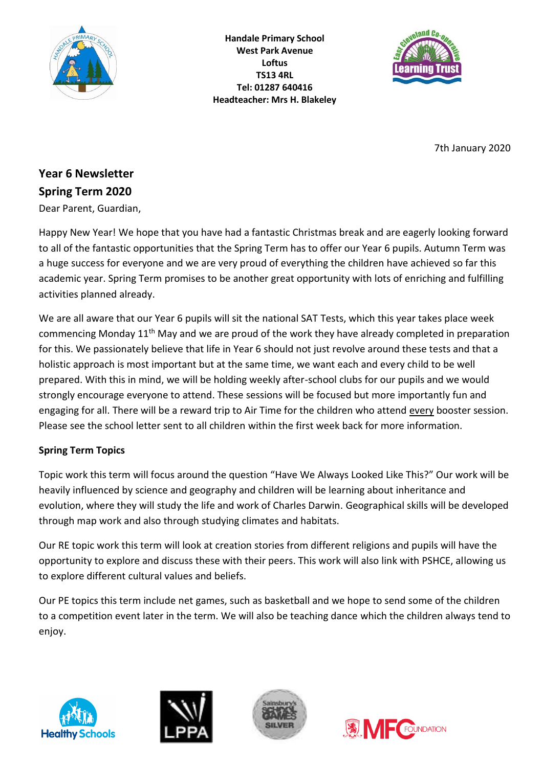

**Handale Primary School West Park Avenue Loftus TS13 4RL Tel: 01287 640416 Headteacher: Mrs H. Blakeley**



7th January 2020

# **Year 6 Newsletter Spring Term 2020**

Dear Parent, Guardian,

Happy New Year! We hope that you have had a fantastic Christmas break and are eagerly looking forward to all of the fantastic opportunities that the Spring Term has to offer our Year 6 pupils. Autumn Term was a huge success for everyone and we are very proud of everything the children have achieved so far this academic year. Spring Term promises to be another great opportunity with lots of enriching and fulfilling activities planned already.

We are all aware that our Year 6 pupils will sit the national SAT Tests, which this year takes place week commencing Monday 11th May and we are proud of the work they have already completed in preparation for this. We passionately believe that life in Year 6 should not just revolve around these tests and that a holistic approach is most important but at the same time, we want each and every child to be well prepared. With this in mind, we will be holding weekly after-school clubs for our pupils and we would strongly encourage everyone to attend. These sessions will be focused but more importantly fun and engaging for all. There will be a reward trip to Air Time for the children who attend every booster session. Please see the school letter sent to all children within the first week back for more information.

## **Spring Term Topics**

Topic work this term will focus around the question "Have We Always Looked Like This?" Our work will be heavily influenced by science and geography and children will be learning about inheritance and evolution, where they will study the life and work of Charles Darwin. Geographical skills will be developed through map work and also through studying climates and habitats.

Our RE topic work this term will look at creation stories from different religions and pupils will have the opportunity to explore and discuss these with their peers. This work will also link with PSHCE, allowing us to explore different cultural values and beliefs.

Our PE topics this term include net games, such as basketball and we hope to send some of the children to a competition event later in the term. We will also be teaching dance which the children always tend to enjoy.